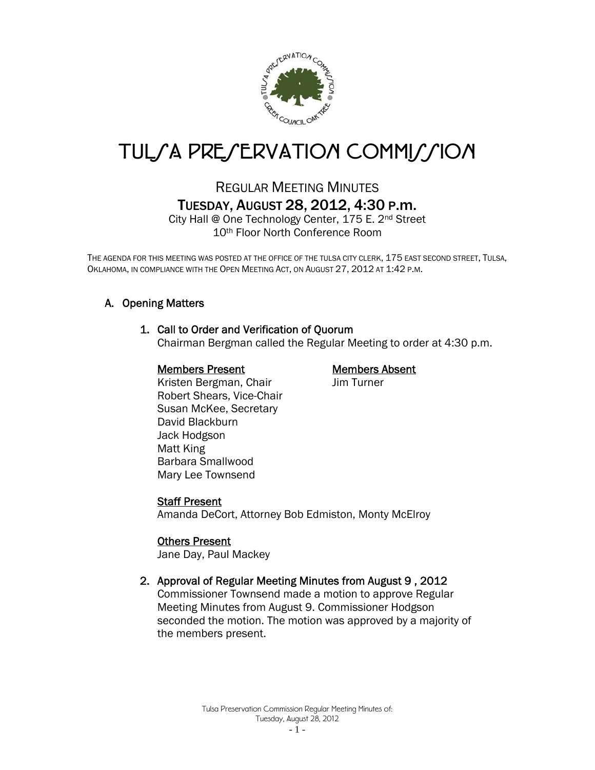

# TUL*SA PRESERVATION COMMISSION*

## REGULAR MEETING MINUTES TUESDAY, AUGUST 28, 2012, 4:30 P.m.

City Hall @ One Technology Center, 175 E. 2nd Street 10th Floor North Conference Room

THE AGENDA FOR THIS MEETING WAS POSTED AT THE OFFICE OF THE TULSA CITY CLERK, 175 EAST SECOND STREET, TULSA, OKLAHOMA, IN COMPLIANCE WITH THE OPEN MEETING ACT, ON AUGUST 27, 2012 AT 1:42 P.M.

## A. Opening Matters

#### 1. Call to Order and Verification of Quorum

Chairman Bergman called the Regular Meeting to order at 4:30 p.m.

#### Members Present Members Absent

Kristen Bergman, Chair **Jim Turner** Robert Shears, Vice-Chair Susan McKee, Secretary David Blackburn Jack Hodgson Matt King Barbara Smallwood Mary Lee Townsend

## Staff Present

Amanda DeCort, Attorney Bob Edmiston, Monty McElroy

#### Others Present

Jane Day, Paul Mackey

## 2. Approval of Regular Meeting Minutes from August 9 , 2012

Commissioner Townsend made a motion to approve Regular Meeting Minutes from August 9. Commissioner Hodgson seconded the motion. The motion was approved by a majority of the members present.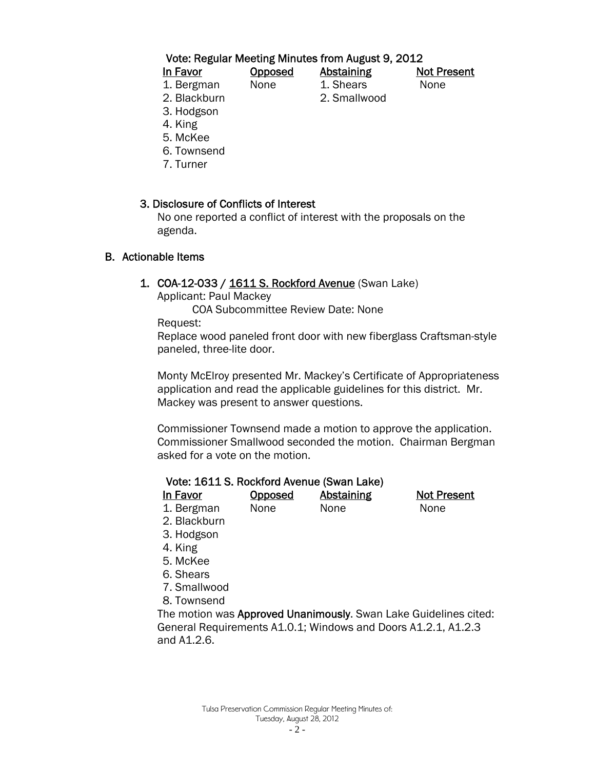#### Vote: Regular Meeting Minutes from August 9, 2012

1. Bergman None 1. Shears None 2. Blackburn 2. Smallwood

In Favor Opposed Abstaining Not Present

- 
- 3. Hodgson
- 4. King
- 5. McKee
- 6. Townsend
- 7. Turner

## 3. Disclosure of Conflicts of Interest

 No one reported a conflict of interest with the proposals on the agenda.

#### B. Actionable Items

1. COA-12-033 / 1611 S. Rockford Avenue (Swan Lake)

Applicant: Paul Mackey

COA Subcommittee Review Date: None

Request:

Replace wood paneled front door with new fiberglass Craftsman-style paneled, three-lite door.

Monty McElroy presented Mr. Mackey's Certificate of Appropriateness application and read the applicable guidelines for this district. Mr. Mackey was present to answer questions.

Commissioner Townsend made a motion to approve the application. Commissioner Smallwood seconded the motion. Chairman Bergman asked for a vote on the motion.

#### Vote: 1611 S. Rockford Avenue (Swan Lake)

In Favor Copposed Abstaining Not Present

1. Bergman None None None

- 2. Blackburn
- 3. Hodgson
- 4. King
- 5. McKee
- 6. Shears
- 7. Smallwood
- 8. Townsend

The motion was Approved Unanimously. Swan Lake Guidelines cited: General Requirements A1.0.1; Windows and Doors A1.2.1, A1.2.3 and A1.2.6.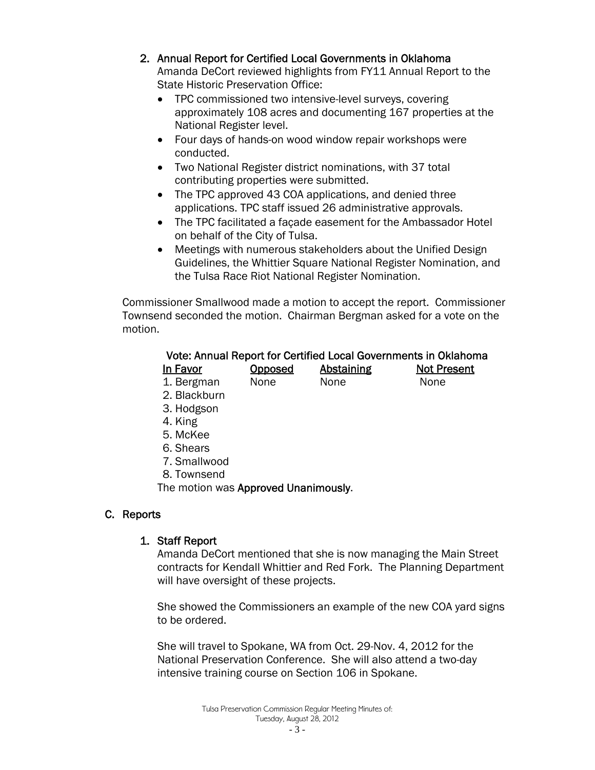#### 2. Annual Report for Certified Local Governments in Oklahoma

Amanda DeCort reviewed highlights from FY11 Annual Report to the State Historic Preservation Office:

- TPC commissioned two intensive-level surveys, covering approximately 108 acres and documenting 167 properties at the National Register level.
- Four days of hands-on wood window repair workshops were conducted.
- Two National Register district nominations, with 37 total contributing properties were submitted.
- The TPC approved 43 COA applications, and denied three applications. TPC staff issued 26 administrative approvals.
- The TPC facilitated a façade easement for the Ambassador Hotel on behalf of the City of Tulsa.
- Meetings with numerous stakeholders about the Unified Design Guidelines, the Whittier Square National Register Nomination, and the Tulsa Race Riot National Register Nomination.

Commissioner Smallwood made a motion to accept the report. Commissioner Townsend seconded the motion. Chairman Bergman asked for a vote on the motion.

## Vote: Annual Report for Certified Local Governments in Oklahoma

| <u>In Favor</u> | <b>Opposed</b> | <b>Abstaining</b> | <b>Not Present</b> |
|-----------------|----------------|-------------------|--------------------|
| 1. Bergman      | None           | None              | None               |

- 2. Blackburn
- 3. Hodgson
- 4. King
- 5. McKee
- 6. Shears
- 7. Smallwood
- 8. Townsend

The motion was Approved Unanimously.

## C. Reports

## 1. Staff Report

Amanda DeCort mentioned that she is now managing the Main Street contracts for Kendall Whittier and Red Fork. The Planning Department will have oversight of these projects.

She showed the Commissioners an example of the new COA yard signs to be ordered.

She will travel to Spokane, WA from Oct. 29-Nov. 4, 2012 for the National Preservation Conference. She will also attend a two-day intensive training course on Section 106 in Spokane.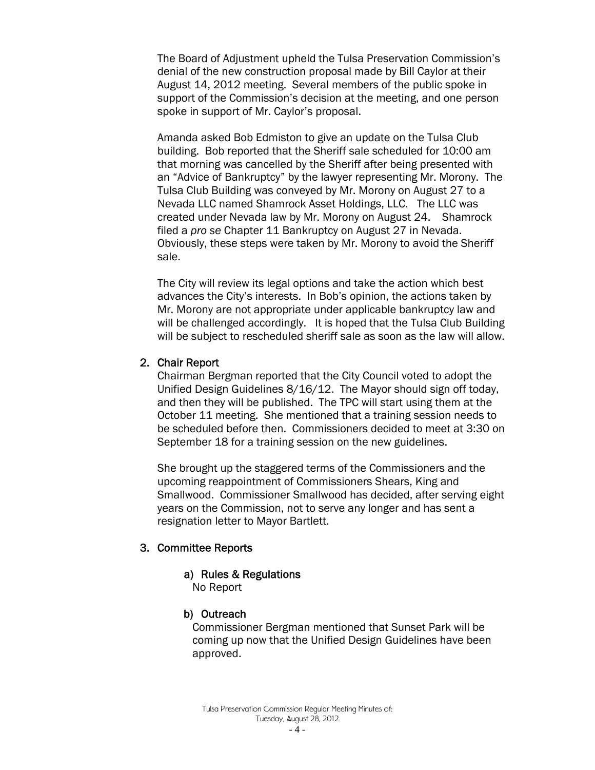The Board of Adjustment upheld the Tulsa Preservation Commission's denial of the new construction proposal made by Bill Caylor at their August 14, 2012 meeting. Several members of the public spoke in support of the Commission's decision at the meeting, and one person spoke in support of Mr. Caylor's proposal.

Amanda asked Bob Edmiston to give an update on the Tulsa Club building. Bob reported that the Sheriff sale scheduled for 10:00 am that morning was cancelled by the Sheriff after being presented with an "Advice of Bankruptcy" by the lawyer representing Mr. Morony. The Tulsa Club Building was conveyed by Mr. Morony on August 27 to a Nevada LLC named Shamrock Asset Holdings, LLC. The LLC was created under Nevada law by Mr. Morony on August 24. Shamrock filed a *pro se* Chapter 11 Bankruptcy on August 27 in Nevada. Obviously, these steps were taken by Mr. Morony to avoid the Sheriff sale.

The City will review its legal options and take the action which best advances the City's interests. In Bob's opinion, the actions taken by Mr. Morony are not appropriate under applicable bankruptcy law and will be challenged accordingly. It is hoped that the Tulsa Club Building will be subject to rescheduled sheriff sale as soon as the law will allow.

#### 2. Chair Report

Chairman Bergman reported that the City Council voted to adopt the Unified Design Guidelines 8/16/12. The Mayor should sign off today, and then they will be published. The TPC will start using them at the October 11 meeting. She mentioned that a training session needs to be scheduled before then. Commissioners decided to meet at 3:30 on September 18 for a training session on the new guidelines.

She brought up the staggered terms of the Commissioners and the upcoming reappointment of Commissioners Shears, King and Smallwood. Commissioner Smallwood has decided, after serving eight years on the Commission, not to serve any longer and has sent a resignation letter to Mayor Bartlett.

#### 3. Committee Reports

#### a) Rules & Regulations

No Report

#### b) Outreach

 Commissioner Bergman mentioned that Sunset Park will be coming up now that the Unified Design Guidelines have been approved.